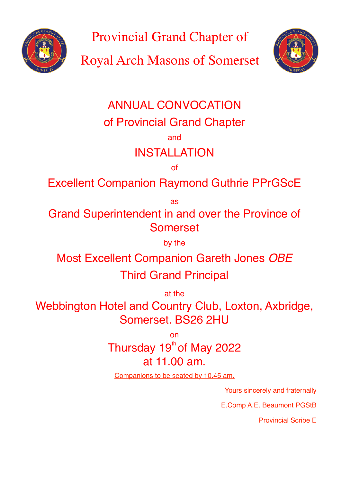

Provincial Grand Chapter of

Royal Arch Masons of Somerset



# ANNUAL CONVOCATION

of Provincial Grand Chapter

and

## INSTALLATION

of

Excellent Companion Raymond Guthrie PPrGScE

as

Grand Superintendent in and over the Province of Somerset

by the

Most Excellent Companion Gareth Jones *OBE*

## Third Grand Principal

at the

Webbington Hotel and Country Club, Loxton, Axbridge, Somerset. BS26 2HU

on

Thursday 19th of May 2022 at 11.00 am.

Companions to be seated by 10.45 am.

Yours sincerely and fraternally

E.Comp A.E. Beaumont PGStB

Provincial Scribe E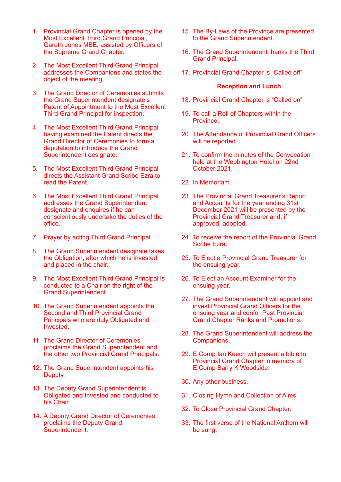- 1. Provincial Grand Chapter is opened by the Most Excellent Third Grand Principal, Gareth Jones MBE, assisted by Officers of the Supreme Grand Chapter.
- 2. The Most Excellent Third Grand Principal addresses the Companions and states the object of the meeting.
- 3. The Grand Director of Ceremonies submits the Grand Superintendent designate's Patent of Appointment to the Most Excellent Third Grand Principal for inspection.
- 4. The Most Excellent Third Grand Principal having examined the Patent directs the Grand Director of Ceremonies to form a deputation to introduce the Grand Superintendent designate.
- 5. The Most Excellent Third Grand Principal directs the Assistant Grand Scribe Ezra to read the Patent.
- 6. The Most Excellent Third Grand Principal addresses the Grand Superintendent designate and enquires if he can conscientiously undertake the duties of the office.
- 7. Prayer by acting Third Grand Principal.
- 8. The Grand Superintendent designate takes the Obligation, after which he is Invested and placed in the chair.
- 9. The Most Excellent Third Grand Principal is conducted to a Chair on the right of the Grand Superintendent.
- 10. The Grand Superintendent appoints the Second and Third Provincial Grand Principals who are duly Obligated and Invested.
- 11. The Grand Director of Ceremonies proclaims the Grand Superintendent and the other two Provincial Grand Principals.
- 12. The Grand Superintendent appoints his Deputy.
- 13. The Deputy Grand Superintendent is Obligated and Invested and conducted to his Chair.
- 14. A Deputy Grand Director of Ceremonies proclaims the Deputy Grand Superintendent.
- 15. The By-Laws of the Province are presented to the Grand Superintendent.
- 16. The Grand Superintendent thanks the Third Grand Principal.
- 17. Provincial Grand Chapter is "Called off"

#### **Reception and Lunch**

- 18. Provincial Grand Chapter is "Called on"
- 19. To call a Roll of Chapters within the Province.
- 20. The Attendance of Provincial Grand Officers will be reported.
- 21. To confirm the minutes of the Convocation held at the Webbington Hotel on 22nd October 2021.
- 22. In Memoriam.
- 23. The Provincial Grand Treasurer's Report and Accounts for the year ending 31st December 2021 will be presented by the Provincial Grand Treasurer and, if approved, adopted.
- 24. To receive the report of the Provincial Grand Scribe Ezra.
- 25. To Elect a Provincial Grand Treasurer for the ensuing year.
- 26. To Elect an Account Examiner for the ensuing year.
- 27. The Grand Superintendent will appoint and invest Provincial Grand Officers for the ensuing year and confer Past Provincial Grand Chapter Ranks and Promotions.
- 28. The Grand Superintendent will address the Companions.
- 29. E.Comp Ian Keech will present a bible to Provincial Grand Chapter in memory of E.Comp Barry K Woodside.
- 30. Any other business.
- 31. Closing Hymn and Collection of Alms.
- 32. To Close Provincial Grand Chapter.
- 33. The first verse of the National Anthem will be sung.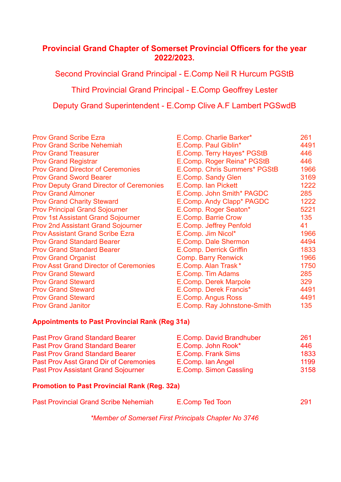#### **Provincial Grand Chapter of Somerset Provincial Officers for the year 2022/2023.**

Second Provincial Grand Principal - E.Comp Neil R Hurcum PGStB

Third Provincial Grand Principal - E.Comp Geoffrey Lester

Deputy Grand Superintendent - E.Comp Clive A.F Lambert PGSwdB

| <b>Prov Grand Scribe Ezra</b>                   | E.Comp. Charlie Barker*        | 261 |
|-------------------------------------------------|--------------------------------|-----|
| <b>Prov Grand Scribe Nehemiah</b>               | E.Comp. Paul Giblin*           | 449 |
| <b>Prov Grand Treasurer</b>                     | E.Comp. Terry Hayes* PGStB     | 446 |
| <b>Prov Grand Registrar</b>                     | E.Comp. Roger Reina* PGStB     | 446 |
| <b>Prov Grand Director of Ceremonies</b>        | E.Comp. Chris Summers* PGStB   | 196 |
| <b>Prov Grand Sword Bearer</b>                  | E.Comp. Sandy Glen             | 316 |
| <b>Prov Deputy Grand Director of Ceremonies</b> | E.Comp. Ian Pickett            | 122 |
| <b>Prov Grand Almoner</b>                       | E.Comp. John Smith* PAGDC      | 285 |
| <b>Prov Grand Charity Steward</b>               | E.Comp. Andy Clapp* PAGDC      | 122 |
| <b>Prov Principal Grand Sojourner</b>           | E.Comp. Roger Seaton*          | 522 |
| <b>Prov 1st Assistant Grand Sojourner</b>       | E.Comp. Barrie Crow            | 135 |
| <b>Prov 2nd Assistant Grand Sojourner</b>       | E.Comp. Jeffrey Penfold        | 41  |
| <b>Prov Assistant Grand Scribe Ezra</b>         | E.Comp. Jim Nicol*             | 196 |
| <b>Prov Grand Standard Bearer</b>               | E.Comp. Dale Shermon           | 449 |
| <b>Prov Grand Standard Bearer</b>               | <b>E.Comp. Derrick Griffin</b> | 183 |
| <b>Prov Grand Organist</b>                      | <b>Comp. Barry Renwick</b>     | 196 |
| <b>Prov Asst Grand Director of Ceremonies</b>   | E.Comp. Alan Trask*            | 175 |
| <b>Prov Grand Steward</b>                       | E.Comp. Tim Adams              | 285 |
| <b>Prov Grand Steward</b>                       | E.Comp. Derek Marpole          | 329 |
| <b>Prov Grand Steward</b>                       | E.Comp. Derek Francis*         | 449 |
| <b>Prov Grand Steward</b>                       | E.Comp. Angus Ross             | 449 |
| <b>Prov Grand Janitor</b>                       | E.Comp. Ray Johnstone-Smith    | 135 |
|                                                 |                                |     |

| <b>Prov Grand Scribe Ezra</b>                   | E.Comp. Charlie Barker*        | 261  |
|-------------------------------------------------|--------------------------------|------|
| <b>Prov Grand Scribe Nehemiah</b>               | E.Comp. Paul Giblin*           | 4491 |
| <b>Prov Grand Treasurer</b>                     | E.Comp. Terry Hayes* PGStB     | 446  |
| <b>Prov Grand Registrar</b>                     | E.Comp. Roger Reina* PGStB     | 446  |
| <b>Prov Grand Director of Ceremonies</b>        | E.Comp. Chris Summers* PGStB   | 1966 |
| <b>Prov Grand Sword Bearer</b>                  | E.Comp. Sandy Glen             | 3169 |
| <b>Prov Deputy Grand Director of Ceremonies</b> | E.Comp. Ian Pickett            | 1222 |
| <b>Prov Grand Almoner</b>                       | E.Comp. John Smith* PAGDC      | 285  |
| <b>Prov Grand Charity Steward</b>               | E.Comp. Andy Clapp* PAGDC      | 1222 |
| <b>Prov Principal Grand Sojourner</b>           | E.Comp. Roger Seaton*          | 5221 |
| <b>Prov 1st Assistant Grand Sojourner</b>       | E.Comp. Barrie Crow            | 135  |
| <b>Prov 2nd Assistant Grand Sojourner</b>       | E.Comp. Jeffrey Penfold        | 41   |
| <b>Prov Assistant Grand Scribe Ezra</b>         | E.Comp. Jim Nicol*             | 1966 |
| <b>Prov Grand Standard Bearer</b>               | E.Comp. Dale Shermon           | 4494 |
| <b>Prov Grand Standard Bearer</b>               | <b>E.Comp. Derrick Griffin</b> | 1833 |
| <b>Prov Grand Organist</b>                      | <b>Comp. Barry Renwick</b>     | 1966 |
| <b>Prov Asst Grand Director of Ceremonies</b>   | E.Comp. Alan Trask*            | 1750 |
| <b>Prov Grand Steward</b>                       | E.Comp. Tim Adams              | 285  |
| <b>Prov Grand Steward</b>                       | E.Comp. Derek Marpole          | 329  |
| <b>Prov Grand Steward</b>                       | E.Comp. Derek Francis*         | 4491 |
| <b>Prov Grand Steward</b>                       | E.Comp. Angus Ross             | 4491 |
| <b>Prov Grand Janitor</b>                       | E.Comp. Ray Johnstone-Smith    | 135  |

#### **Appointments to Past Provincial Rank (Reg 31a)**

| <b>Past Prov Grand Standard Bearer</b>        | E.Comp. David Brandhuber | 261  |
|-----------------------------------------------|--------------------------|------|
| <b>Past Prov Grand Standard Bearer</b>        | E.Comp. John Rook*       | 446. |
| <b>Past Prov Grand Standard Bearer</b>        | E.Comp. Frank Sims       | 1833 |
| <b>Past Prov Asst Grand Dir of Ceremonies</b> | E.Comp. Ian Angel        | 1199 |
| <b>Past Prov Assistant Grand Sojourner</b>    | E.Comp. Simon Cassling   | 3158 |

#### **Promotion to Past Provincial Rank (Reg. 32a)**

| <b>Past Provincial Grand Scribe Nehemiah</b> | E.Comp Ted Toon | 291 |
|----------------------------------------------|-----------------|-----|
|                                              |                 |     |

*\*Member of Somerset First Principals Chapter No 3746*